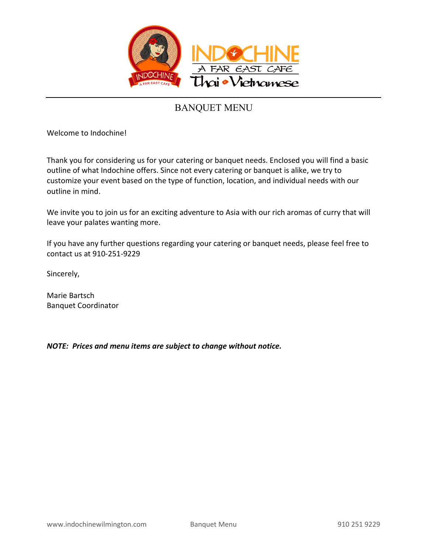

Welcome to Indochine!

Thank you for considering us for your catering or banquet needs. Enclosed you will find a basic outline of what Indochine offers. Since not every catering or banquet is alike, we try to customize your event based on the type of function, location, and individual needs with our outline in mind.

We invite you to join us for an exciting adventure to Asia with our rich aromas of curry that will leave your palates wanting more.

If you have any further questions regarding your catering or banquet needs, please feel free to contact us at 910-251-9229

Sincerely,

Marie Bartsch Banquet Coordinator

*NOTE: Prices and menu items are subject to change without notice.*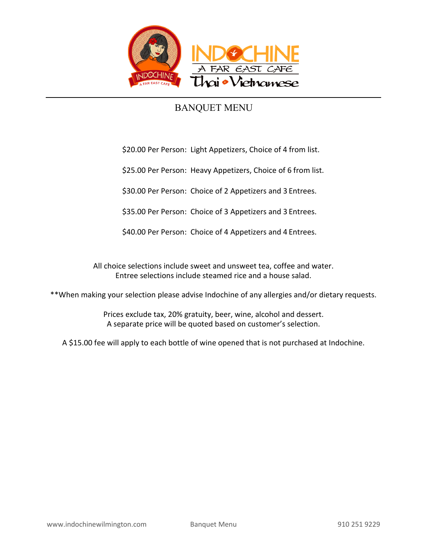

\$20.00 Per Person: Light Appetizers, Choice of 4 from list.

\$25.00 Per Person: Heavy Appetizers, Choice of 6 from list.

\$30.00 Per Person: Choice of 2 Appetizers and 3 Entrees.

\$35.00 Per Person: Choice of 3 Appetizers and 3 Entrees.

\$40.00 Per Person: Choice of 4 Appetizers and 4 Entrees.

All choice selections include sweet and unsweet tea, coffee and water. Entree selections include steamed rice and a house salad.

\*\*When making your selection please advise Indochine of any allergies and/or dietary requests.

Prices exclude tax, 20% gratuity, beer, wine, alcohol and dessert. A separate price will be quoted based on customer's selection.

A \$15.00 fee will apply to each bottle of wine opened that is not purchased at Indochine.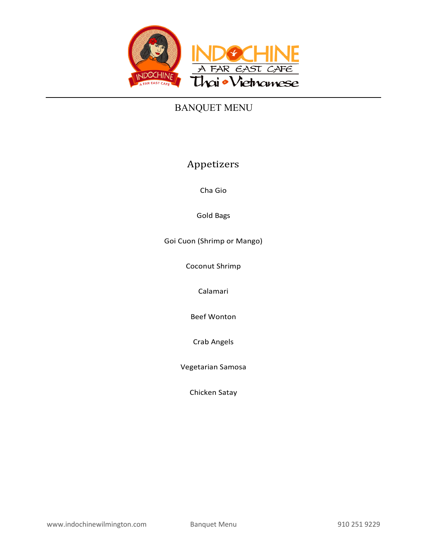

### Appetizers

Cha Gio

Gold Bags

Goi Cuon (Shrimp or Mango)

Coconut Shrimp

Calamari

Beef Wonton

Crab Angels

Vegetarian Samosa

Chicken Satay